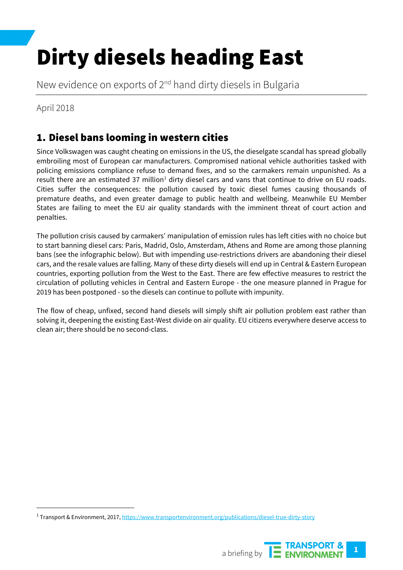# Dirty diesels heading East

New evidence on exports of 2<sup>nd</sup> hand dirty diesels in Bulgaria

April 2018

## 1. Diesel bans looming in western cities

Since Volkswagen was caught cheating on emissions in the US, the dieselgate scandal has spread globally embroiling most of European car manufacturers. Compromised national vehicle authorities tasked with policing emissions compliance refuse to demand fixes, and so the carmakers remain unpunished. As a result there are an estimated 37 million $<sup>1</sup>$  dirty diesel cars and vans that continue to drive on EU roads.</sup> Cities suffer the consequences: the pollution caused by toxic diesel fumes causing thousands of premature deaths, and even greater damage to public health and wellbeing. Meanwhile EU Member States are failing to meet the EU air quality standards with the imminent threat of court action and penalties.

The pollution crisis caused by carmakers' manipulation of emission rules has left cities with no choice but to start banning diesel cars: Paris, Madrid, Oslo, Amsterdam, Athens and Rome are among those planning bans (see the infographic below). But with impending use-restrictions drivers are abandoning their diesel cars, and the resale values are falling. Many of these dirty diesels will end up in Central & Eastern European countries, exporting pollution from the West to the East. There are few effective measures to restrict the circulation of polluting vehicles in Central and Eastern Europe - the one measure planned in Prague for 2019 has been postponed - so the diesels can continue to pollute with impunity.

The flow of cheap, unfixed, second hand diesels will simply shift air pollution problem east rather than solving it, deepening the existing East-West divide on air quality. EU citizens everywhere deserve access to clean air; there should be no second-class.

<span id="page-0-0"></span><sup>&</sup>lt;sup>1</sup> Transport & Environment, 2017[, https://www.transportenvironment.org/publications/diesel-true-dirty-story](https://www.transportenvironment.org/publications/diesel-true-dirty-story)

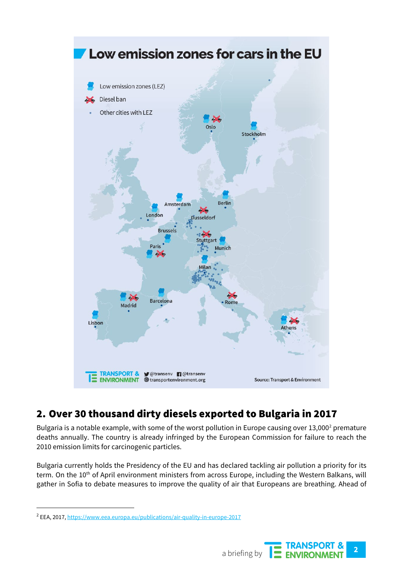

## 2. Over 30 thousand dirty diesels exported to Bulgaria in 2017

Bulgaria is a notable example, with some of the worst pollution in Europe causing over 13,000<sup>[2](#page-1-0)</sup> premature deaths annually. The country is already infringed by the European Commission for failure to reach the 2010 emission limits for carcinogenic particles.

Bulgaria currently holds the Presidency of the EU and has declared tackling air pollution a priority for its term. On the 10<sup>th</sup> of April environment ministers from across Europe, including the Western Balkans, will gather in Sofia to debate measures to improve the quality of air that Europeans are breathing. Ahead of

<span id="page-1-0"></span><sup>&</sup>lt;sup>2</sup> EEA, 2017[, https://www.eea.europa.eu/publications/air-quality-in-europe-2017](https://www.eea.europa.eu/publications/air-quality-in-europe-2017)

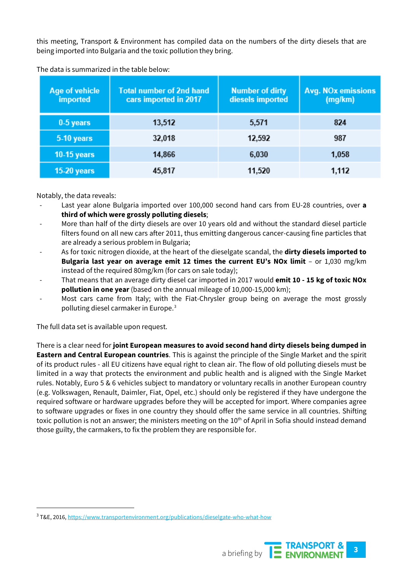this meeting, Transport & Environment has compiled data on the numbers of the dirty diesels that are being imported into Bulgaria and the toxic pollution they bring.

| Age of vehicle<br><b>imported</b> | <b>Total number of 2nd hand</b><br>cars imported in 2017 | <b>Number of dirty</b><br>diesels imported | <b>Avg. NOx emissions</b><br>(mg/km) |
|-----------------------------------|----------------------------------------------------------|--------------------------------------------|--------------------------------------|
| $0-5$ years                       | 13,512                                                   | 5,571                                      | 824                                  |
| 5-10 years                        | 32,018                                                   | 12,592                                     | 987                                  |
| $10-15$ years                     | 14,866                                                   | 6,030                                      | 1,058                                |
| $15-20$ years                     | 45,817                                                   | 11,520                                     | 1,112                                |

The data is summarized in the table below:

Notably, the data reveals:

- Last year alone Bulgaria imported over 100,000 second hand cars from EU-28 countries, over a **third of which were grossly polluting diesels**;
- More than half of the dirty diesels are over 10 years old and without the standard diesel particle filters found on all new cars after 2011, thus emitting dangerous cancer-causing fine particles that are already a serious problem in Bulgaria;
- As for toxic nitrogen dioxide, at the heart of the dieselgate scandal, the **dirty diesels imported to Bulgaria last year on average emit 12 times the current EU's NOx limit** – or 1,030 mg/km instead of the required 80mg/km (for cars on sale today);
- That means that an average dirty diesel car imported in 2017 would **emit 10 - 15 kg of toxic NOx pollution in one year**(based on the annual mileage of 10,000-15,000 km);
- Most cars came from Italy; with the Fiat-Chrysler group being on average the most grossly polluting diesel carmaker in Europe.<sup>[3](#page-2-0)</sup>

The full data set is available upon request.

There is a clear need for **joint European measures to avoid second hand dirty diesels being dumped in Eastern and Central European countries**. This is against the principle of the Single Market and the spirit of its product rules - all EU citizens have equal right to clean air. The flow of old polluting diesels must be limited in a way that protects the environment and public health and is aligned with the Single Market rules. Notably, Euro 5 & 6 vehicles subject to mandatory or voluntary recalls in another European country (e.g. Volkswagen, Renault, Daimler, Fiat, Opel, etc.) should only be registered if they have undergone the required software or hardware upgrades before they will be accepted for import. Where companies agree to software upgrades or fixes in one country they should offer the same service in all countries. Shifting toxic pollution is not an answer; the ministers meeting on the 10<sup>th</sup> of April in Sofia should instead demand those guilty, the carmakers, to fix the problem they are responsible for.

<span id="page-2-0"></span> <sup>3</sup> T&E, 2016[, https://www.transportenvironment.org/publications/dieselgate-who-what-how](https://www.transportenvironment.org/publications/dieselgate-who-what-how)